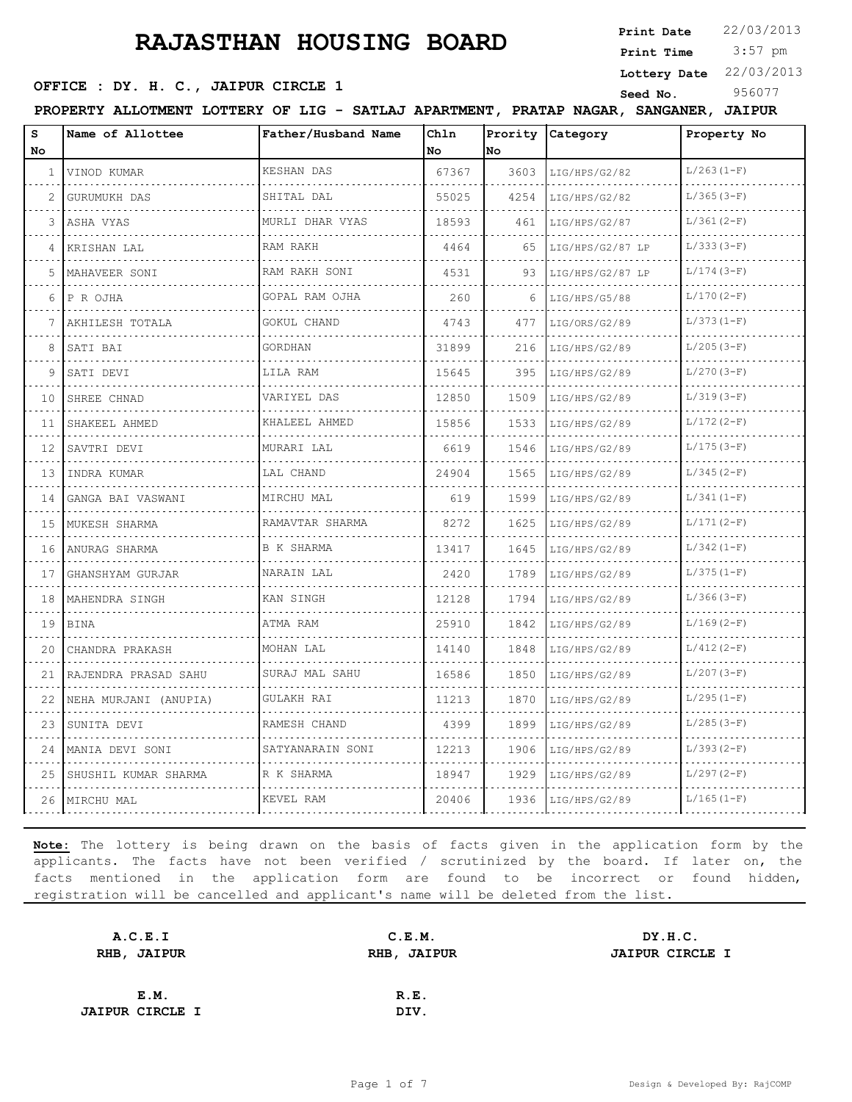**Print Date**  $22/03/2013$ 

 3:57 pm **Print Time Lottery Date** 22/03/2013

#### **OFFICE : DY. H. C., JAIPUR CIRCLE 1** Seed No. 956077

**PROPERTY ALLOTMENT LOTTERY OF LIG - SATLAJ APARTMENT, PRATAP NAGAR, SANGANER, JAIPUR**

| s<br>No      | Name of Allottee      | Father/Husband Name      | Chln<br>No | Prority<br>No | Category           | Property No  |
|--------------|-----------------------|--------------------------|------------|---------------|--------------------|--------------|
| $\mathbf{1}$ | VINOD KUMAR           | <b>KESHAN DAS</b>        | 67367      | 3603          | LIG/HPS/G2/82      | $L/263(1-F)$ |
| 2            | GURUMUKH DAS          | SHITAL DAL               | 55025      | 4254          | LIG/HPS/G2/82      | $L/365(3-F)$ |
| 3            | ASHA VYAS             | MURLI DHAR VYAS          | 18593      | 461           | LIG/HPS/G2/87      | $L/361(2-F)$ |
| 4            | KRISHAN LAL           | RAM RAKH                 | 4464       | 65            | LIG/HPS/G2/87 LP   | $L/333(3-F)$ |
| 5            | MAHAVEER SONI         | RAM RAKH SONI            | 4531       | 93            | LIG/HPS/G2/87 LP   | $L/174(3-F)$ |
| 6            | P R OJHA              | .<br>GOPAL RAM OJHA      | 260        | 6             | .<br>LIG/HPS/G5/88 | $L/170(2-F)$ |
|              | AKHILESH TOTALA       | .<br>GOKUL CHAND         | 4743       | 477           | LIG/ORS/G2/89      | $L/373(1-F)$ |
| 8            | SATI BAI              | GORDHAN                  | 31899      | 216           | LIG/HPS/G2/89      | $L/205(3-F)$ |
| 9            | SATI DEVI             | LILA RAM                 | 15645      | 395           | LIG/HPS/G2/89      | $L/270(3-F)$ |
| 10           | SHREE CHNAD           | VARIYEL DAS              | 12850      | 1509          | LIG/HPS/G2/89      | $L/319(3-F)$ |
| 11           | SHAKEEL AHMED         | KHALEEL AHMED            | 15856      | 1533          | LIG/HPS/G2/89      | $L/172(2-F)$ |
| 12           | SAVTRI DEVI           | MURARI LAL               | 6619       | 1546          | LIG/HPS/G2/89      | $L/175(3-F)$ |
| 13           | INDRA KUMAR           | LAL CHAND                | 24904      | 1565          | LIG/HPS/G2/89      | $L/345(2-F)$ |
| 14           | GANGA BAI VASWANI     | MIRCHU MAL               | 619        | 1599          | LIG/HPS/G2/89      | $L/341(1-F)$ |
| 15           | MUKESH SHARMA         | RAMAVTAR SHARMA          | 8272       | 1625          | LIG/HPS/G2/89      | $L/171(2-F)$ |
| 16           | ANURAG SHARMA         | B K SHARMA               | 13417      | 1645          | LIG/HPS/G2/89      | $L/342(1-F)$ |
| 17           | GHANSHYAM GURJAR      | NARAIN LAL               | 2420       | 1789          | LIG/HPS/G2/89      | $L/375(1-F)$ |
| 18           | MAHENDRA SINGH        | KAN SINGH                | 12128      | 1794          | LIG/HPS/G2/89      | $L/366(3-F)$ |
| 19           | BINA                  | ATMA RAM                 | 25910      | 1842          | LIG/HPS/G2/89      | $L/169(2-F)$ |
| 20           | CHANDRA PRAKASH       | and a state<br>MOHAN LAL | 14140      | 1848          | LIG/HPS/G2/89      | $L/412(2-F)$ |
| 21           | RAJENDRA PRASAD SAHU  | SURAJ MAL SAHU           | 16586      | 1850          | LIG/HPS/G2/89      | $L/207(3-F)$ |
| 22           | NEHA MURJANI (ANUPIA) | GULAKH RAI               | 11213      | 1870          | LIG/HPS/G2/89      | $L/295(1-F)$ |
| 23           | SUNITA DEVI           | RAMESH CHAND             | 4399       | 1899          | LIG/HPS/G2/89      | $L/285(3-F)$ |
| 24           | MANIA DEVI SONI       | SATYANARAIN SONI         | 12213      | 1906          | LIG/HPS/G2/89      | $L/393(2-F)$ |
| 25           | SHUSHIL KUMAR SHARMA  | R K SHARMA               | 18947      | 1929          | LIG/HPS/G2/89      | $L/297(2-F)$ |
|              | 26   MIRCHU MAL       | KEVEL RAM                | 20406      | 1936          | LIG/HPS/G2/89      | $L/165(1-F)$ |

| A.C.E.I                | C.E.M.      | DY.H.C.                |
|------------------------|-------------|------------------------|
| RHB, JAIPUR            | RHB, JAIPUR | <b>JAIPUR CIRCLE I</b> |
|                        |             |                        |
| E.M.                   | R.E.        |                        |
| <b>JAIPUR CIRCLE I</b> | DIV.        |                        |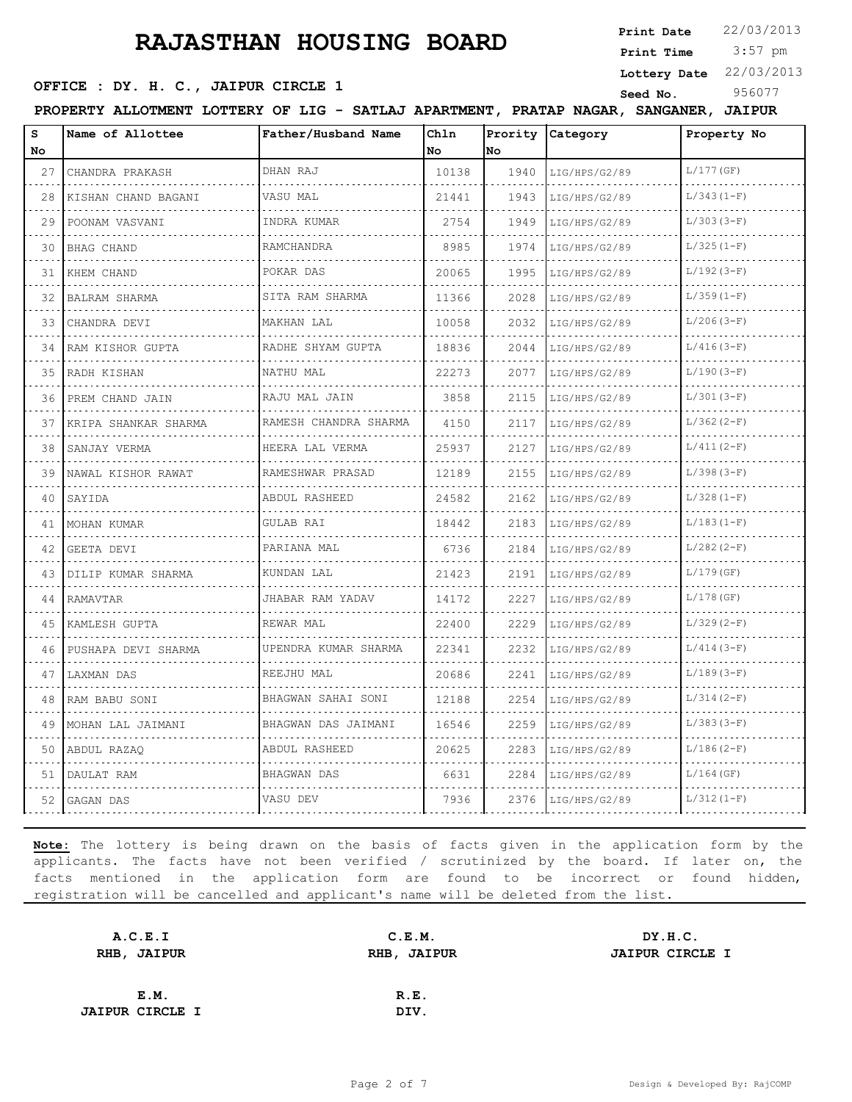**Print Date**  $22/03/2013$ 

 3:57 pm **Print Time**

**Lottery Date** 22/03/2013

#### **OFFICE : DY. H. C., JAIPUR CIRCLE 1** Seed No. 956077

**PROPERTY ALLOTMENT LOTTERY OF LIG - SATLAJ APARTMENT, PRATAP NAGAR, SANGANER, JAIPUR**

| S<br>No. | Name of Allottee     | Father/Husband Name   | Chln<br>No | Prority<br>No. | Category      | Property No  |
|----------|----------------------|-----------------------|------------|----------------|---------------|--------------|
| 27       | CHANDRA PRAKASH      | DHAN RAJ              | 10138      | 1940           | LIG/HPS/G2/89 | $L/177$ (GF) |
| 28       | KISHAN CHAND BAGANI  | VASU MAL              | 21441      | 1943           | LIG/HPS/G2/89 | $L/343(1-F)$ |
| 29       | .<br>POONAM VASVANI  | INDRA KUMAR           | 2754       | 1949           | LIG/HPS/G2/89 | $L/303(3-F)$ |
| 30       | <b>BHAG CHAND</b>    | RAMCHANDRA<br>.       | 8985       | 1974           | LIG/HPS/G2/89 | $L/325(1-F)$ |
| 31       | KHEM CHAND           | POKAR DAS             | 20065      | 1995           | LIG/HPS/G2/89 | $L/192(3-F)$ |
| 32       | BALRAM SHARMA        | SITA RAM SHARMA       | 11366      | 2028           | LIG/HPS/G2/89 | $L/359(1-F)$ |
| 33       | CHANDRA DEVI         | MAKHAN LAL            | 10058      | 2032           | LIG/HPS/G2/89 | $L/206(3-F)$ |
| 34       | RAM KISHOR GUPTA     | RADHE SHYAM GUPTA     | 18836      | 2044           | LIG/HPS/G2/89 | $L/416(3-F)$ |
| 35       | RADH KISHAN          | NATHU MAL             | 22273      | 2077           | LIG/HPS/G2/89 | $L/190(3-F)$ |
| 36       | PREM CHAND JAIN      | RAJU MAL JAIN         | 3858       | 2115           | LIG/HPS/G2/89 | $L/301(3-F)$ |
| 37       | KRIPA SHANKAR SHARMA | RAMESH CHANDRA SHARMA | 4150       | 2117           | LIG/HPS/G2/89 | $L/362(2-F)$ |
| 38       | SANJAY VERMA         | HEERA LAL VERMA<br>.  | 25937      | 2127           | LIG/HPS/G2/89 | $L/411(2-F)$ |
| 39       | NAWAL KISHOR RAWAT   | RAMESHWAR PRASAD      | 12189      | 2155           | LIG/HPS/G2/89 | $L/398(3-F)$ |
| 40       | SAYIDA               | ABDUL RASHEED         | 24582      | 2162           | LIG/HPS/G2/89 | $L/328(1-F)$ |
| 41       | MOHAN KUMAR          | <b>GULAB RAI</b>      | 18442      | 2183           | LIG/HPS/G2/89 | $L/183(1-F)$ |
| 42       | GEETA DEVI           | PARIANA MAL           | 6736       | 2184           | LIG/HPS/G2/89 | $L/282(2-F)$ |
| 43       | DILIP KUMAR SHARMA   | KUNDAN LAL            | 21423      | 2191           | LIG/HPS/G2/89 | $L/179$ (GF) |
| 44       | RAMAVTAR             | JHABAR RAM YADAV      | 14172      | 2227           | LIG/HPS/G2/89 | $L/178$ (GF) |
| 45       | KAMLESH GUPTA        | REWAR MAL             | 22400      | 2229           | LIG/HPS/G2/89 | $L/329(2-F)$ |
| 46       | PUSHAPA DEVI SHARMA  | UPENDRA KUMAR SHARMA  | 22341      | 2232           | LIG/HPS/G2/89 | $L/414(3-F)$ |
| 47       | LAXMAN DAS           | REEJHU MAL            | 20686      | 2241           | LIG/HPS/G2/89 | $L/189(3-F)$ |
| 48       | RAM BABU SONI        | BHAGWAN SAHAI SONI    | 12188      | 2254           | LIG/HPS/G2/89 | $L/314(2-F)$ |
| 49       | MOHAN LAL JAIMANI    | BHAGWAN DAS JAIMANI   | 16546      | 2259           | LIG/HPS/G2/89 | $L/383(3-F)$ |
| 50       | ABDUL RAZAO          | ABDUL RASHEED         | 20625      | 2283           | LIG/HPS/G2/89 | $L/186(2-F)$ |
| 51       | DAULAT RAM           | BHAGWAN DAS           | 6631       | 2284           | LIG/HPS/G2/89 | $L/164$ (GF) |
| 52       | GAGAN DAS            | VASU DEV              | 7936       | 2376           | LIG/HPS/G2/89 | $L/312(1-F)$ |

| A.C.E.I                | C.E.M.      | DY.H.C.                |
|------------------------|-------------|------------------------|
| RHB, JAIPUR            | RHB, JAIPUR | <b>JAIPUR CIRCLE I</b> |
|                        |             |                        |
| E.M.                   | R.E.        |                        |
| <b>JAIPUR CIRCLE I</b> | DIV.        |                        |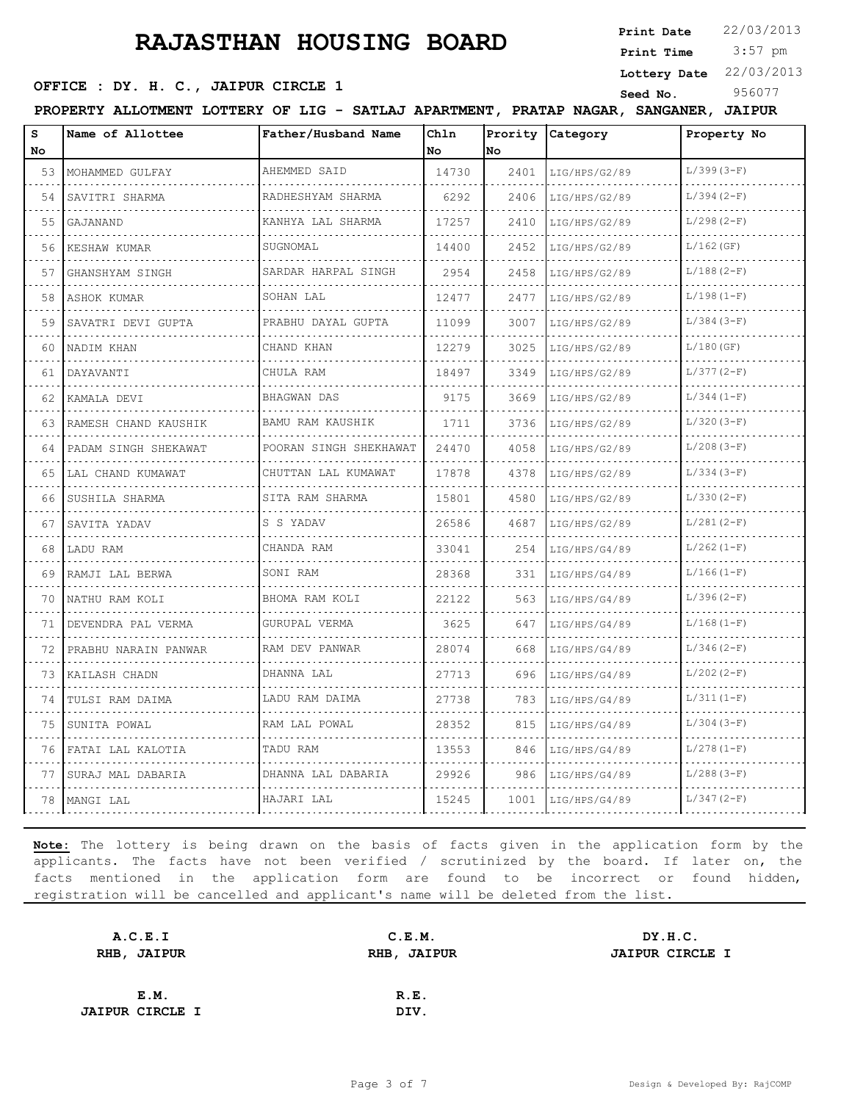**Print Date**  $22/03/2013$ 

 3:57 pm **Print Time**

**OFFICE : DY. H. C., JAIPUR CIRCLE 1** Seed No. 956077

**Lottery Date** 22/03/2013

**PROPERTY ALLOTMENT LOTTERY OF LIG - SATLAJ APARTMENT, PRATAP NAGAR, SANGANER, JAIPUR**

| S<br>No | Name of Allottee       | Father/Husband Name      | Chln<br>No | Prority<br>lno. | Category           | Property No  |
|---------|------------------------|--------------------------|------------|-----------------|--------------------|--------------|
| 53      | MOHAMMED GULFAY        | AHEMMED SAID             | 14730      | 2401            | LIG/HPS/G2/89      | $L/399(3-F)$ |
| 54      | .<br>SAVITRI SHARMA    | .<br>RADHESHYAM SHARMA   | 6292       | 2406            | .<br>LIG/HPS/G2/89 | $L/394(2-F)$ |
| 55      | GAJANAND               | KANHYA LAL SHARMA        | 17257      | 2410            | LIG/HPS/G2/89      | $L/298(2-F)$ |
| 56      | KESHAW KUMAR           | SUGNOMAL                 | 14400      | 2452            | LIG/HPS/G2/89      | $L/162$ (GF) |
| 57      | GHANSHYAM SINGH        | SARDAR HARPAL SINGH      | 2954       | 2458            | LIG/HPS/G2/89      | $L/188(2-F)$ |
| 58      | ASHOK KUMAR            | SOHAN LAL                | 12477      | 2477            | LIG/HPS/G2/89      | $L/198(1-F)$ |
| 59      | SAVATRI DEVI GUPTA     | PRABHU DAYAL GUPTA       | 11099      | 3007            | LIG/HPS/G2/89      | $L/384(3-F)$ |
| 60      | NADIM KHAN             | CHAND KHAN               | 12279      | 3025            | LIG/HPS/G2/89      | $L/180$ (GF) |
| 61      | DAYAVANTI              | CHULA RAM                | 18497      | 3349            | LIG/HPS/G2/89      | $L/377(2-F)$ |
| 62      | KAMALA DEVI<br>.       | <b>BHAGWAN DAS</b>       | 9175       | 3669            | LIG/HPS/G2/89      | $L/344(1-F)$ |
| 63      | RAMESH CHAND KAUSHIK   | BAMU RAM KAUSHIK         | 1711       | 3736            | LIG/HPS/G2/89      | $L/320(3-F)$ |
| 64      | PADAM SINGH SHEKAWAT   | POORAN SINGH SHEKHAWAT   | 24470      | 4058            | LIG/HPS/G2/89      | $L/208(3-F)$ |
| 65      | LAL CHAND KUMAWAT<br>. | CHUTTAN LAL KUMAWAT<br>. | 17878      | 4378            | LIG/HPS/G2/89      | $L/334(3-F)$ |
| 66      | SUSHILA SHARMA         | SITA RAM SHARMA          | 15801      | 4580            | LIG/HPS/G2/89      | $L/330(2-F)$ |
| 67      | SAVITA YADAV           | S S YADAV                | 26586      | 4687            | LIG/HPS/G2/89      | $L/281(2-F)$ |
| 68      | LADU RAM               | CHANDA RAM               | 33041      | 254             | LIG/HPS/G4/89      | $L/262(1-F)$ |
| 69      | RAMJI LAL BERWA        | SONI RAM                 | 28368      | 331             | LIG/HPS/G4/89      | $L/166(1-F)$ |
| 70      | NATHU RAM KOLI         | BHOMA RAM KOLI           | 22122      | 563             | LIG/HPS/G4/89      | $L/396(2-F)$ |
| 71      | DEVENDRA PAL VERMA     | GURUPAL VERMA            | 3625       | 647             | LIG/HPS/G4/89      | $L/168(1-F)$ |
| 72      | PRABHU NARAIN PANWAR   | RAM DEV PANWAR           | 28074      | 668             | LIG/HPS/G4/89      | $L/346(2-F)$ |
| 73      | KAILASH CHADN          | DHANNA LAL               | 27713      | 696             | LIG/HPS/G4/89      | $L/202(2-F)$ |
| 74      | TULSI RAM DAIMA        | LADU RAM DAIMA           | 27738      | 783             | LIG/HPS/G4/89      | $L/311(1-F)$ |
| 75      | SUNITA POWAL           | RAM LAL POWAL            | 28352      | 815             | LIG/HPS/G4/89      | $L/304(3-F)$ |
| 76      | FATAI LAL KALOTIA      | TADU RAM                 | 13553      | 846             | LIG/HPS/G4/89      | $L/278(1-F)$ |
| 77      | SURAJ MAL DABARIA      | DHANNA LAL DABARIA       | 29926      | 986             | LIG/HPS/G4/89      | $L/288(3-F)$ |
| 78      | MANGI LAL              | HAJARI LAL               | 15245      | 1001            | LIG/HPS/G4/89      | $L/347(2-F)$ |

| A.C.E.I                |      | C.E.M.      | DY.H.C.                |
|------------------------|------|-------------|------------------------|
| RHB, JAIPUR            |      | RHB, JAIPUR | <b>JAIPUR CIRCLE I</b> |
|                        |      |             |                        |
|                        | E.M. | R.E.        |                        |
| <b>JAIPUR CIRCLE I</b> |      | DIV.        |                        |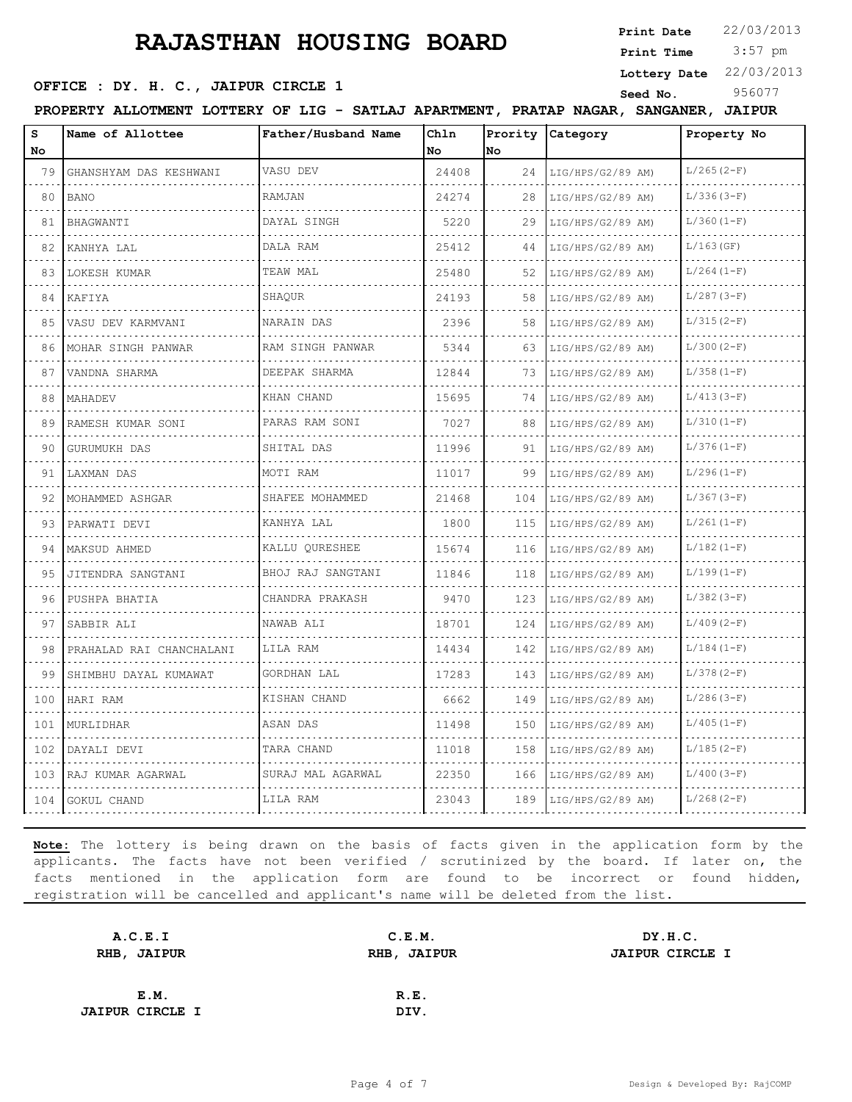3:57 pm **Print Date**  $22/03/2013$ **Print Time**

**OFFICE : DY. H. C., JAIPUR CIRCLE 1** Seed No. 956077

**Lottery Date** 22/03/2013

**PROPERTY ALLOTMENT LOTTERY OF LIG - SATLAJ APARTMENT, PRATAP NAGAR, SANGANER, JAIPUR**

| s<br>No | Name of Allottee         | Father/Husband Name   | Chln<br><b>No</b> | Prority<br>lno | <b>Category</b>   | Property No  |
|---------|--------------------------|-----------------------|-------------------|----------------|-------------------|--------------|
| 79      | GHANSHYAM DAS KESHWANI   | VASU DEV              | 24408             | 24             | LIG/HPS/G2/89 AM) | $L/265(2-F)$ |
| 80      | <b>BANO</b>              | RAMJAN                | 24274             | 28             | LIG/HPS/G2/89 AM) | $L/336(3-F)$ |
| 81      | BHAGWANTI                | DAYAL SINGH           | 5220              | 29             | LIG/HPS/G2/89 AM  | $L/360(1-F)$ |
| 82      | KANHYA LAL               | DALA RAM              | 25412             | 44             | LIG/HPS/G2/89 AM  | $L/163$ (GF) |
| 83      | LOKESH KUMAR             | TEAW MAL              | 25480             | 52             | LIG/HPS/G2/89 AM) | $L/264(1-F)$ |
| 84      | KAFIYA                   | SHAOUR                | 24193             | 58             | LIG/HPS/G2/89 AM  | $L/287(3-F)$ |
| 85      | VASU DEV KARMVANI        | NARAIN DAS            | 2396              | 58             | LIG/HPS/G2/89 AM) | $L/315(2-F)$ |
| 86      | MOHAR SINGH PANWAR       | .<br>RAM SINGH PANWAR | 5344              | 63             | LIG/HPS/G2/89 AM) | $L/300(2-F)$ |
| 87      | VANDNA SHARMA            | DEEPAK SHARMA         | 12844             | 73             | LIG/HPS/G2/89 AM) | $L/358(1-F)$ |
| 88      | MAHADEV                  | KHAN CHAND            | 15695             | 74             | LIG/HPS/G2/89 AM) | $L/413(3-F)$ |
| 89      | RAMESH KUMAR SONI        | .<br>PARAS RAM SONI   | 7027              | 88             | LIG/HPS/G2/89 AM) | $L/310(1-F)$ |
| 90      | GURUMUKH DAS             | SHITAL DAS            | 11996             | 91             | LIG/HPS/G2/89 AM) | $L/376(1-F)$ |
| 91      | LAXMAN DAS               | MOTI RAM              | 11017             | 99             | LIG/HPS/G2/89 AM) | $L/296(1-F)$ |
| 92      | MOHAMMED ASHGAR          | SHAFEE MOHAMMED       | 21468             | 104            | LIG/HPS/G2/89 AM) | $L/367(3-F)$ |
| 93      | PARWATI DEVI             | KANHYA LAL            | 1800              | 115            | LIG/HPS/G2/89 AM  | $L/261(1-F)$ |
| 94      | MAKSUD AHMED             | KALLU QURESHEE        | 15674             | 116            | LIG/HPS/G2/89 AM) | $L/182(1-F)$ |
| 95      | JITENDRA SANGTANI        | BHOJ RAJ SANGTANI     | 11846             | 118            | LIG/HPS/G2/89 AM) | $L/199(1-F)$ |
| 96      | PUSHPA BHATIA            | CHANDRA PRAKASH       | 9470              | 123            | LIG/HPS/G2/89 AM) | $L/382(3-F)$ |
| 97      | SABBIR ALI               | NAWAB ALI             | 18701             | 124            | LIG/HPS/G2/89 AM) | $L/409(2-F)$ |
| 98      | PRAHALAD RAI CHANCHALANI | LILA RAM              | 14434             | 142            | LIG/HPS/G2/89 AM) | $L/184(1-F)$ |
| 99      | SHIMBHU DAYAL KUMAWAT    | <b>GORDHAN LAL</b>    | 17283             | 143            | LIG/HPS/G2/89 AM) | $L/378(2-F)$ |
| 100     | HARI RAM                 | KISHAN CHAND          | 6662              | 149            | LIG/HPS/G2/89 AM) | $L/286(3-F)$ |
| 101     | MURLIDHAR                | ASAN DAS              | 11498             | 150            | LIG/HPS/G2/89 AM) | $L/405(1-F)$ |
| 102     | DAYALI DEVI              | TARA CHAND            | 11018             | 158            | LIG/HPS/G2/89 AM) | $L/185(2-F)$ |
| 103     | IRAJ KUMAR AGARWAL       | SURAJ MAL AGARWAL     | 22350             | 166            | LIG/HPS/G2/89 AM) | $L/400(3-F)$ |
| 104     | GOKUL CHAND              | LILA RAM              | 23043             | 189            | LIG/HPS/G2/89 AM) | $L/268(2-F)$ |

| A.C.E.I                | C.E.M.      | DY.H.C.                |
|------------------------|-------------|------------------------|
| RHB, JAIPUR            | RHB, JAIPUR | <b>JAIPUR CIRCLE I</b> |
|                        |             |                        |
| E.M.                   | R.E.        |                        |
| <b>JAIPUR CIRCLE I</b> | DIV.        |                        |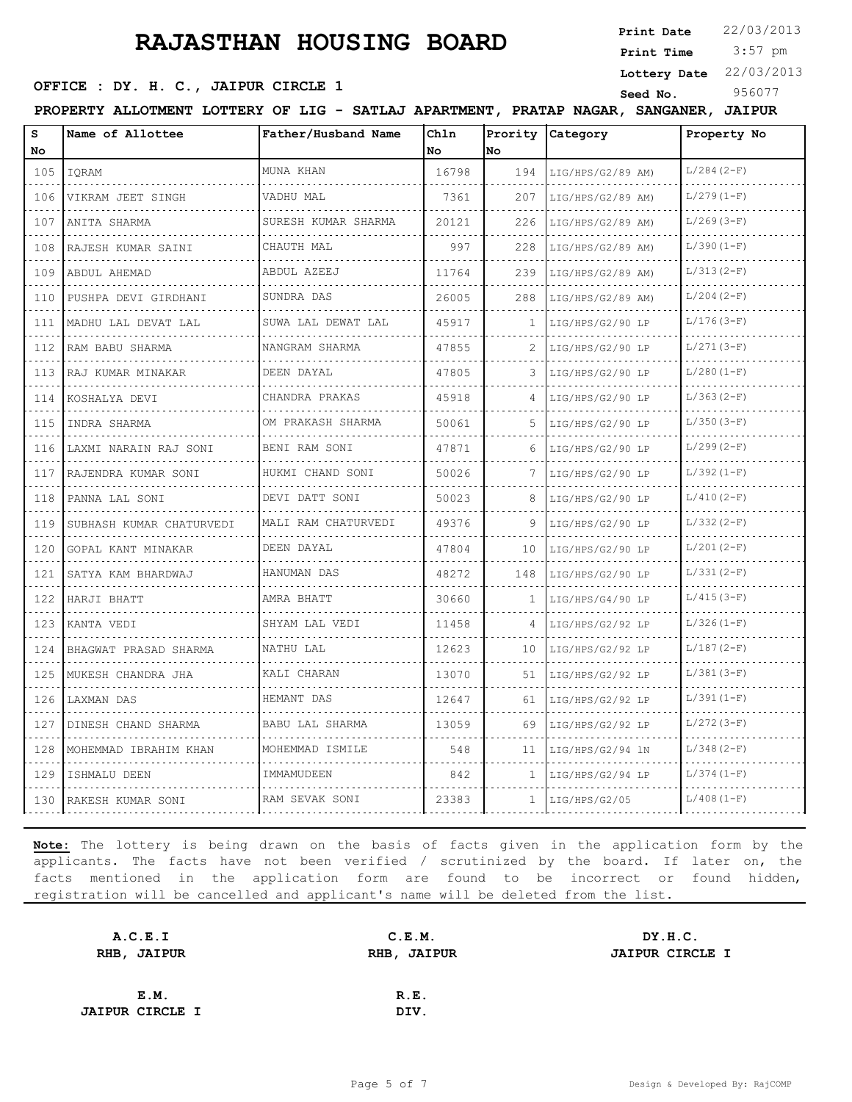**Print Date**  $22/03/2013$ 

 3:57 pm **Print Time Lottery Date** 22/03/2013

#### **OFFICE : DY. H. C., JAIPUR CIRCLE 1** Seed No. 956077

**PROPERTY ALLOTMENT LOTTERY OF LIG - SATLAJ APARTMENT, PRATAP NAGAR, SANGANER, JAIPUR**

| s<br>No                            | Name of Allottee         | Father/Husband Name   | Ch1n<br>No | No           | Prority Category  | Property No   |
|------------------------------------|--------------------------|-----------------------|------------|--------------|-------------------|---------------|
| 105                                | IQRAM                    | MUNA KHAN             | 16798      | 194          | LIG/HPS/G2/89 AM) | $L/284 (2-F)$ |
| 106                                | VIKRAM JEET SINGH        | VADHU MAL             | 7361       | 207          | LIG/HPS/G2/89 AM) | $L/279(1-F)$  |
| 107                                | ANITA SHARMA             | SURESH KUMAR SHARMA   | 20121      | 226          | LIG/HPS/G2/89 AM) | $L/269(3-F)$  |
| 108                                | RAJESH KUMAR SAINI       | .<br>CHAUTH MAL       | 997        | 228          | LIG/HPS/G2/89 AM) | $L/390(1-F)$  |
| 109                                | ABDUL AHEMAD             | ABDUL AZEEJ           | 11764      | 239          | LIG/HPS/G2/89 AM) | $L/313(2-F)$  |
| 110                                | PUSHPA DEVI GIRDHANI     | SUNDRA DAS            | 26005      | 288          | LIG/HPS/G2/89 AM) | $L/204(2-F)$  |
| 111                                | MADHU LAL DEVAT LAL      | SUWA LAL DEWAT LAL    | 45917      | 1            | LIG/HPS/G2/90 LP  | $L/176(3-F)$  |
| 112                                | RAM BABU SHARMA          | NANGRAM SHARMA        | 47855      | 2            | LIG/HPS/G2/90 LP  | $L/271(3-F)$  |
| 113                                | RAJ KUMAR MINAKAR        | DEEN DAYAL            | 47805      | 3.           | LIG/HPS/G2/90 LP  | $L/280(1-F)$  |
| 114                                | KOSHALYA DEVI            | CHANDRA PRAKAS        | 45918      |              | LIG/HPS/G2/90 LP  | $L/363(2-F)$  |
| 115                                | INDRA SHARMA             | OM PRAKASH SHARMA     | 50061      | .5.          | LIG/HPS/G2/90 LP  | $L/350(3-F)$  |
| 116                                | LAXMI NARAIN RAJ SONI    | BENI RAM SONI         | 47871      | 6            | LIG/HPS/G2/90 LP  | $L/299(2-F)$  |
| 117                                | RAJENDRA KUMAR SONI      | HUKMI CHAND SONI<br>. | 50026      | 7            | LIG/HPS/G2/90 LP  | $L/392(1-F)$  |
| 118                                | PANNA LAL SONI           | DEVI DATT SONI        | 50023      | 8            | LIG/HPS/G2/90 LP  | $L/410(2-F)$  |
| 119                                | SUBHASH KUMAR CHATURVEDI | MALI RAM CHATURVEDI   | 49376      | 9            | LIG/HPS/G2/90 LP  | $L/332(2-F)$  |
| 120                                | GOPAL KANT MINAKAR       | DEEN DAYAL            | 47804      | 10           | LIG/HPS/G2/90 LP  | $L/201(2-F)$  |
| 121                                | SATYA KAM BHARDWAJ       | HANUMAN DAS           | 48272      | 148          | LIG/HPS/G2/90 LP  | $L/331(2-F)$  |
| 122                                | HARJI BHATT              | AMRA BHATT            | 30660      | 1            | LIG/HPS/G4/90 LP  | $L/415(3-F)$  |
| 123                                | KANTA VEDI               | SHYAM LAL VEDI        | 11458      | 4            | LIG/HPS/G2/92 LP  | $L/326(1-F)$  |
| 124                                | BHAGWAT PRASAD SHARMA    | NATHU LAL             | 12623      | 10           | LIG/HPS/G2/92 LP  | $L/187(2-F)$  |
| 125                                | MUKESH CHANDRA JHA       | KALI CHARAN           | 13070      | 51           | LIG/HPS/G2/92 LP  | $L/381(3-F)$  |
| 126<br>$\sim$ $\sim$ $\sim$ $\sim$ | LAXMAN DAS               | HEMANT DAS            | 12647      | 61           | LIG/HPS/G2/92 LP  | $L/391(1-F)$  |
| 127                                | DINESH CHAND SHARMA      | BABU LAL SHARMA       | 13059      | 69           | LIG/HPS/G2/92 LP  | $L/272(3-F)$  |
| 128                                | MOHEMMAD IBRAHIM KHAN    | MOHEMMAD ISMILE       | 548        | 11           | LIG/HPS/G2/94 1N  | $L/348(2-F)$  |
| 129                                | ISHMALU DEEN             | IMMAMUDEEN            | 842        | 1.           | LIG/HPS/G2/94 LP  | $L/374(1-F)$  |
| 130                                | RAKESH KUMAR SONI        | RAM SEVAK SONI        | 23383      | $\mathbf{1}$ | LIG/HPS/G2/05     | $L/408 (1-F)$ |

| A.C.E.I                | C.E.M.      | DY.H.C.                |
|------------------------|-------------|------------------------|
| RHB, JAIPUR            | RHB, JAIPUR | <b>JAIPUR CIRCLE I</b> |
|                        |             |                        |
| E.M.                   | R.E.        |                        |
| <b>JAIPUR CIRCLE I</b> | DIV.        |                        |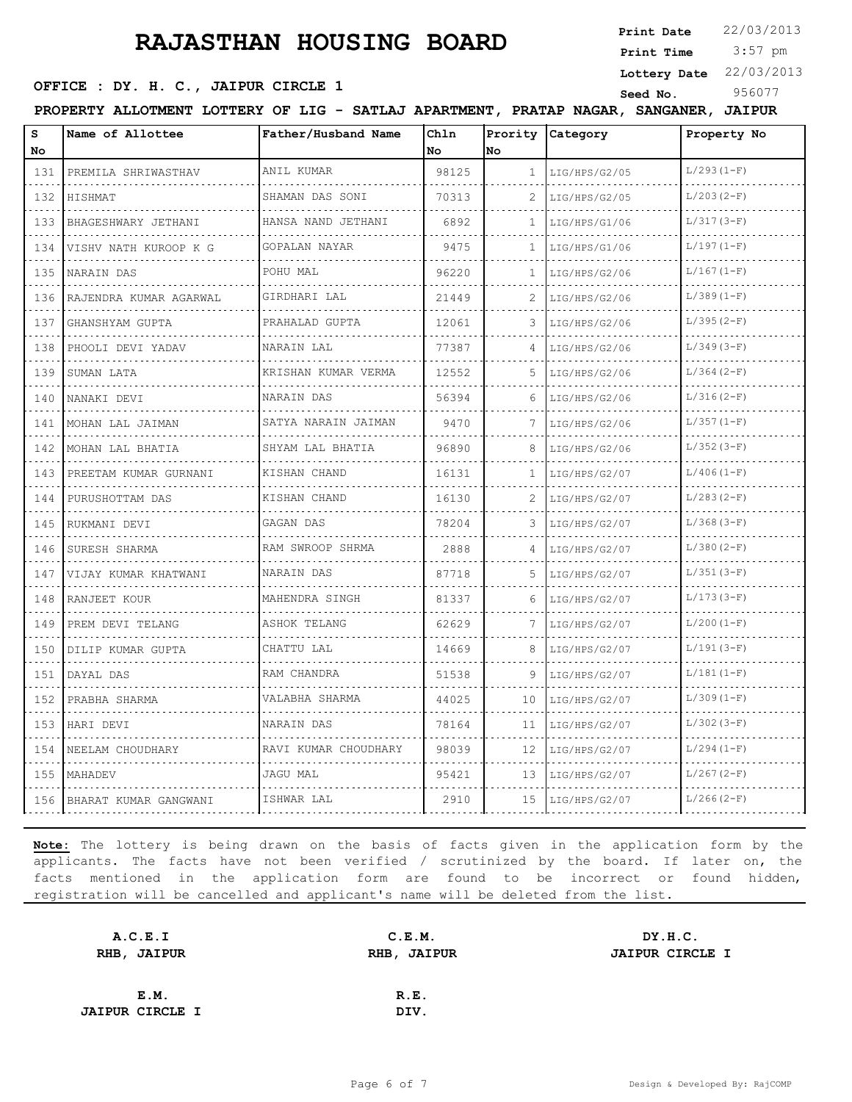**Print Date**  $22/03/2013$ 

 3:57 pm **Print Time**

#### **SEED OFFICE : DY. H. C., JAIPUR CIRCLE 1 Seed No.** 956077

**Lottery Date** 22/03/2013

| s<br>No                     | Name of Allottee           | Father/Husband Name  | Chln<br>No | No           | Prority Category | Property No  |
|-----------------------------|----------------------------|----------------------|------------|--------------|------------------|--------------|
| 131                         | PREMILA SHRIWASTHAV        | ANIL KUMAR           | 98125      | $\mathbf{1}$ | LIG/HPS/G2/05    | $L/293(1-F)$ |
| 132                         | HISHMAT                    | SHAMAN DAS SONI      | 70313      | 2            | LIG/HPS/G2/05    | $L/203(2-F)$ |
| 133                         | BHAGESHWARY JETHANI        | HANSA NAND JETHANI   | 6892       | 1            | LIG/HPS/G1/06    | $L/317(3-F)$ |
| $\sim$ $\sim$ $\sim$<br>134 | .<br>VISHV NATH KUROOP K G | .<br>GOPALAN NAYAR   | 9475       | 1.           | LIG/HPS/G1/06    | $L/197(1-F)$ |
| 135                         | NARAIN DAS                 | POHU MAL             | 96220      | 1            | LIG/HPS/G2/06    | $L/167(1-F)$ |
| 136                         | RAJENDRA KUMAR AGARWAL     | GIRDHARI LAL         | 21449      |              | LIG/HPS/G2/06    | $L/389(1-F)$ |
| .<br>137                    | GHANSHYAM GUPTA            | PRAHALAD GUPTA       | 12061      | 3            | LIG/HPS/G2/06    | $L/395(2-F)$ |
| 138                         | PHOOLI DEVI YADAV          | NARAIN LAL           | 77387      | 4            | LIG/HPS/G2/06    | $L/349(3-F)$ |
| .<br>139                    | SUMAN LATA                 | KRISHAN KUMAR VERMA  | 12552      | 5.           | LIG/HPS/G2/06    | $L/364(2-F)$ |
| .<br>140                    | NANAKI DEVI                | NARAIN DAS           | 56394      | 6            | LIG/HPS/G2/06    | $L/316(2-F)$ |
| 141                         | MOHAN LAL JAIMAN           | SATYA NARAIN JAIMAN  | 9470       |              | LIG/HPS/G2/06    | $L/357(1-F)$ |
| .<br>142                    | MOHAN LAL BHATIA           | SHYAM LAL BHATIA     | 96890      | 8            | LIG/HPS/G2/06    | $L/352(3-F)$ |
| .<br>143                    | PREETAM KUMAR GURNANI      | .<br>KISHAN CHAND    | 16131      | 1            | LIG/HPS/G2/07    | $L/406(1-F)$ |
| 144                         | PURUSHOTTAM DAS            | KISHAN CHAND         | 16130      |              | LIG/HPS/G2/07    | $L/283(2-F)$ |
| .<br>145                    | RUKMANI DEVI               | GAGAN DAS            | 78204      | 3            | LIG/HPS/G2/07    | $L/368(3-F)$ |
| .<br>146                    | SURESH SHARMA              | RAM SWROOP SHRMA     | 2888       | 4            | LIG/HPS/G2/07    | $L/380(2-F)$ |
| .<br>147                    | VIJAY KUMAR KHATWANI       | NARAIN DAS           | 87718      | 5            | LIG/HPS/G2/07    | $L/351(3-F)$ |
| 148                         | RANJEET KOUR               | MAHENDRA SINGH       | 81337      | 6            | LIG/HPS/G2/07    | $L/173(3-F)$ |
| 149                         | PREM DEVI TELANG           | ASHOK TELANG         | 62629      | 7            | LIG/HPS/G2/07    | $L/200(1-F)$ |
| .<br>150                    | DILIP KUMAR GUPTA          | CHATTU LAL           | 14669      | 8            | LIG/HPS/G2/07    | $L/191(3-F)$ |
| 151                         | DAYAL DAS                  | RAM CHANDRA          | 51538      | 9            | LIG/HPS/G2/07    | $L/181(1-F)$ |
| .<br>152                    | PRABHA SHARMA              | VALABHA SHARMA       | 44025      | 10           | LIG/HPS/G2/07    | $L/309(1-F)$ |
| .<br>153                    | HARI DEVI                  | NARAIN DAS           | 78164      | 11           | LIG/HPS/G2/07    | $L/302(3-F)$ |
| 154                         | NEELAM CHOUDHARY           | RAVI KUMAR CHOUDHARY | 98039      | 12           | LIG/HPS/G2/07    | $L/294(1-F)$ |
| 155                         | MAHADEV                    | <b>JAGU MAL</b>      | 95421      | 13           | LIG/HPS/G2/07    | $L/267(2-F)$ |
|                             | 156 BHARAT KUMAR GANGWANI  | ISHWAR LAL           | 2910       | 15           | LIG/HPS/G2/07    | $L/266(2-F)$ |

| A.C.E.I                | C.E.M.             | DY.H.C.                |
|------------------------|--------------------|------------------------|
| RHB, JAIPUR            | <b>RHB, JAIPUR</b> | <b>JAIPUR CIRCLE I</b> |
|                        |                    |                        |
| E.M.                   | R.E.               |                        |
| <b>JAIPUR CIRCLE I</b> | DIV.               |                        |